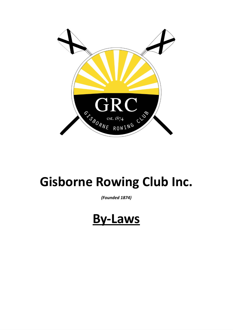

# **Gisborne Rowing Club Inc.**

*(Founded 1874)*

**By-Laws**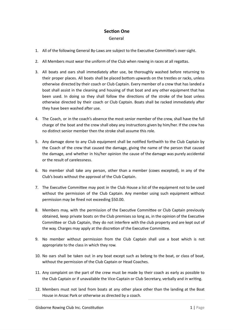### **Section One**

#### General

- 1. All of the following General By-Laws are subject to the Executive Committee's over-sight.
- 2. All Members must wear the uniform of the Club when rowing in races at all regattas.
- 3. All boats and oars shall immediately after use, be thoroughly washed before returning to their proper places. All boats shall be placed bottom upwards on the trestles or racks, unless otherwise directed by their coach or Club Captain. Every member of a crew that has landed a boat shall assist in the cleaning and housing of that boat and any other equipment that has been used. In doing so they shall follow the directions of the stroke of the boat unless otherwise directed by their coach or Club Captain. Boats shall be racked immediately after they have been washed after use.
- 4. The Coach, or in the coach's absence the most senior member of the crew, shall have the full charge of the boat and the crew shall obey any instructions given by him/her. If the crew has no distinct senior member then the stroke shall assume this role.
- 5. Any damage done to any Club equipment shall be notified forthwith to the Club Captain by the Coach of the crew that caused the damage, giving the name of the person that caused the damage, and whether in his/her opinion the cause of the damage was purely accidental or the result of carelessness.
- 6. No member shall take any person, other than a member (coxes excepted), in any of the Club's boats without the approval of the Club Captain.
- 7. The Executive Committee may post in the Club House a list of the equipment not to be used without the permission of the Club Captain. Any member using such equipment without permission may be fined not exceeding \$50.00.
- 8. Members may, with the permission of the Executive Committee or Club Captain previously obtained, keep private boats on the Club premises so long as, in the opinion of the Executive Committee or Club Captain, they do not interfere with the club property and are kept out of the way. Charges may apply at the discretion of the Executive Committee.
- 9. No member without permission from the Club Captain shall use a boat which is not appropriate to the class in which they row.
- 10. No oars shall be taken out in any boat except such as belong to the boat, or class of boat, without the permission of the Club Captain or Head Coaches.
- 11. Any complaint on the part of the crew must be made by their coach as early as possible to the Club Captain or if unavailable the Vice-Captain or Club Secretary, verbally and in writing.
- 12. Members must not land from boats at any other place other than the landing at the Boat House in Anzac Park or otherwise as directed by a coach.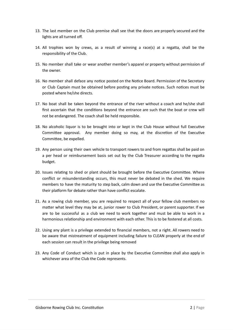- 13. The last member on the Club premise shall see that the doors are properly secured and the lights are all turned off.
- 14. All trophies won by crews, as a result of winning a race(s) at a regatta, shall be the responsibility of the Club.
- 15. No member shall take or wear another member's apparel or property without permission of the owner.
- 16. No member shall deface any notice posted on the Notice Board. Permission of the Secretary or Club Captain must be obtained before posting any private notices. Such notices must be posted where he/she directs.
- 17. No boat shall be taken beyond the entrance of the river without a coach and he/she shall first ascertain that the conditions beyond the entrance are such that the boat or crew will not be endangered. The coach shall be held responsible.
- 18. No alcoholic liquor is to be brought into or kept in the Club House without full Executive Committee approval. Any member doing so may, at the discretion of the Executive Committee, be expelled.
- 19. Any person using their own vehicle to transport rowers to and from regattas shall be paid on a per head or reimbursement basis set out by the Club Treasurer according to the regatta budget.
- 20. Issues relating to shed or plant should be brought before the Executive Committee. Where conflict or misunderstanding occurs, this must never be debated in the shed. We require members to have the maturity to step back, calm down and use the Executive Committee as their platform for debate rather than have conflict escalate.
- 21. As a rowing club member, you are required to respect all of your fellow club members no matter what level they may be at, junior rower to Club President, or parent supporter. If we are to be successful as a club we need to work together and must be able to work in a harmonious relationship and environment with each other. This is to be fostered at all costs.
- 22. Using any plant is a privilege extended to financial members, not a right. All rowers need to be aware that mistreatment of equipment including failure to CLEAN properly at the end of each session can result in the privilege being removed
- 23. Any Code of Conduct which is put in place by the Executive Committee shall also apply in whichever area of the Club the Code represents.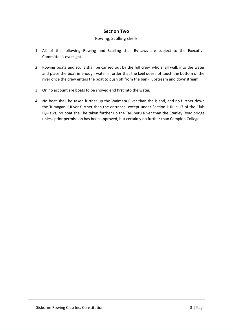## **Section Two**

#### Rowing, Sculling shells

- 1. All of the following Rowing and Sculling shell By-Laws are subject to the Executive Committee's oversight.
- 2. Rowing boats and sculls shall be carried out by the full crew, who shall walk into the water and place the boat in enough water in order that the keel does not touch the bottom of the river once the crew enters the boat to push off from the bank, upstream and downstream.
- 3. On no account are boats to be shoved end first into the water.
- 4. No boat shall be taken further up the Waimata River than the island, and no further down the Turanganui River further than the entrance, except under Section 1 Rule 17 of the Club By-Laws, no boat shall be taken further up the Taruheru River than the Stanley Road bridge unless prior permission has been approved, but certainly no further than Campion College.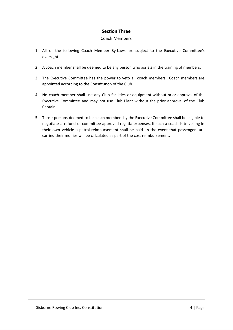## **Section Three**

#### Coach Members

- 1. All of the following Coach Member By-Laws are subject to the Executive Committee's oversight.
- 2. A coach member shall be deemed to be any person who assists in the training of members.
- 3. The Executive Committee has the power to veto all coach members. Coach members are appointed according to the Constitution of the Club.
- 4. No coach member shall use any Club facilities or equipment without prior approval of the Executive Committee and may not use Club Plant without the prior approval of the Club Captain.
- 5. Those persons deemed to be coach members by the Executive Committee shall be eligible to negotiate a refund of committee approved regatta expenses. If such a coach is travelling in their own vehicle a petrol reimbursement shall be paid. In the event that passengers are carried their monies will be calculated as part of the cost reimbursement.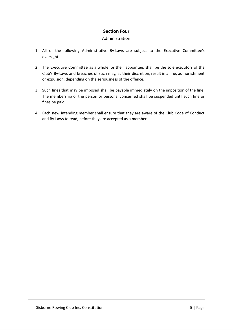## **Section Four**

#### Administration

- 1. All of the following Administrative By-Laws are subject to the Executive Committee's oversight.
- 2. The Executive Committee as a whole, or their appointee, shall be the sole executors of the Club's By-Laws and breaches of such may, at their discretion, result in a fine, admonishment or expulsion, depending on the seriousness of the offence.
- 3. Such fines that may be imposed shall be payable immediately on the imposition of the fine. The membership of the person or persons, concerned shall be suspended until such fine or fines be paid.
- 4. Each new intending member shall ensure that they are aware of the Club Code of Conduct and By-Laws to read, before they are accepted as a member.